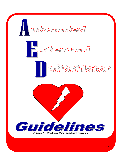

09-2012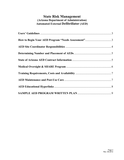# **State Risk Management (Arizona Department of Administration) Automated External Defibrillator (AED)**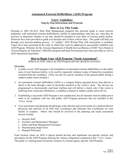# **Automated External Defibrillator (AED) Program**

### **Users' Guidelines Step-by-Step Instructions and Protocols**

### **How to Use This Guide**

<span id="page-2-0"></span>Pursuant to ARS §41-623, State Risk Management prepared this practical guide to assist persons unfamiliar with automated external defibrillators (AEDs) in understanding what they are, what they do and how to determine whether or not they should be installed in your State of Arizona public facility. Protocols have been provided to guide you through each of these critical steps. This guide will help you through your decision-making process. A "sample" AED Written Plan with instructions is included. Topics have been presented in the order in which they must be addressed to successfully establish your AED Program. Websites for the Arizona Department of Health Services/Bureau of EMS "Save Hearts in Arizona Registry & Education" (SHARE) program and State Procurement have been provided as well as AED educational hyperlinks.

### **How to Begin Your AED Program "Needs Assessment"**

(What is an AED, what is an AED Program and who should be involved?)

#### **Overview**

- 1. A public access AED program is the installation of automated external defibrillators in the public areas of your business facility, to be used by organized volunteer teams of trained lay-responders recruited from the workplace. (They can also be used by members of the general public during a sudden cardiac arrest incident.)
- 2. An automated external defibrillator (AED) is a compact battery-operated device that delivers a shock to the heart through a pair of electrodes attached to the victim's chest. The devices are programmed to electronically read heart rhythms and will deliver a shock only if the victim is suffering from ventricular fibrillation, a condition common in sudden cardiac arrest (SCA).
- 3. Establishing a successful AED Program is not complicated, but all elements must be addressed in order to be compliant with law and public AED Program protocols that are included in this "*Users' Guide."*
- 4. Your assessment and planning should begin with selection and involvement of a medical director physician and selection of an AED Site Coordinator and Alternate Site Coordinator for your facility or complex. Others who should be involved in the planning and needs assessment process include:
	- a. Security Staff
	- b. Facilities and Maintenance Managers
	- c. Safety and Risk Management Personnel
	- d. Housekeeping Supervisors
	- e. Dispatch Personnel

Each location where an AED is placed should develop and implement site-specific policies and procedures for the AED Program utilizing the various components contained in this "*Users' Guide."*  The guide is a starting point toward the creation of a formal agency specific AED Program.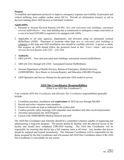### <span id="page-3-0"></span>**Purpose**

To establish and implement protocols to improve emergency response survivability of personnel and visitors suffering from sudden cardiac arrest (SCA). Provide an information resource to aid in decision-making about AED devices at individual worksites.

### **Applicability**

- 1. Pursuant to Arizona Revised Statutes §34-401: *New and renovated state buildings; automated external defibrillators:* Any state building that is constructed or undergoes a major renovation at a cost of at least \$250,000 is required to be equipped with AEDs.
- 2. Applicable to all state agencies, departments, and divisions using an automated external defibrillator (AED). Placement at locations other than *new or renovated state buildings* is voluntary at this time and AED installation sites should be carefully selected. A person or entity that acquires an AED should follow the protocols listed in this *"Users' Guide"* and review *Arizona Revised Statutes* §*36-2262 – §36-2264*

### 3. **Authority**

- 1. ARS §34-401 New and renovated state buildings; automated external defibrillators
- 2. ARS §36-2261 through §36-2264: Automated External Defibrillators
- 3. Arizona Department of Health Services, Bureau of Emergency Medical Services, (ADHS/BEMS), Save Hearts in Arizona Registry and Education (SHARE) Program.
- 4. AED Operation and Service Manual for the particular AED model in service

## **AED Site Coordinator Responsibilities**

(What is an AED Site Coordinator?)

Your worksite AED *Site Coordinator* and *Alternate Site Coordinator* responsibilities generally include:

- 1. Coordinate purchase, installation and **registration** of AED devices through SHARE
- 2. Recruit and select volunteer team members
- 3. Ensure all records are kept as indicated in the written plan
- 4. Conduct periodic safety meetings with responder team members and other involved personnel
- 5. Advertise and promote the AED Program
- 6. Liaison with ADHS/BEMS Medical Director and staff

The AED Site Coordinator and Alternate should be a committed volunteer capable of organizing and administering a long-term program. The person should be familiar with the physical layout of the facility and should have completed CPR/AED training. The AED Site Coordinator will be responsible for ensuring that she/he has a full response team at all times. Any member that leaves should be replaced and trained immediately. The Alternate Coordinator will be responsible for the duties assigned by the Site Coordinator and will assume full AED Site Coordinator duties if the AED Site Coordinator is unavailable for any reason.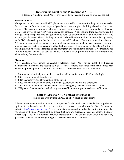### **Determining Number and Placement of AEDs**

<span id="page-4-0"></span>(If a decision is made to install AEDs, how many do we need and where do we place them?)

#### **Number of AEDs**

Management should determine if AED placement is advisable or required for the particular worksite. An assessment of numbers and types of populations using a given building should be done. An efficient AED program optimally achieves a three (3)-minute response time from collapse of patient to on-scene arrival of the AED with a trained lay rescuer. When making these decisions, use this three (3)-minute response time as a guideline to help you determine where and how many AEDs to place in your location. The availability of an AED should be clear to all occupants either by posting an "AED" universal sign or by the presence of an AED cabinet. Determine a location where the AED is both secure and accessible. Common placement locations include near restrooms, elevators, lobbies, security posts, cafeterias and other high-use areas. The location of the AED(s) within a building should be clearly identified on the emergency evacuation route posters. If your facility has "multiple agency tenants", be sure to include all tenants when promoting your AED program and when training first responders.

#### **Placement**

AED installation sites should be carefully selected. Each AED device installed will require maintenance, inspection and testing as well as future funding associated with maintaining each device in optimal operating condition. Examples of AED installation sites may include:

- 1. Sites, where historically the incidence rate for sudden cardiac arrest (SCA) may be high
- 2. Sites with high population densities
- 3. Sites frequently visited by members of the public
- 4. Sites frequently visited by elderly individuals (customers, visitors and employees)
- 5. Sites in remote locations where access to timely emergency medical assistance is limited
- 6. "High-stress" areas, such as vehicle registration offices, courts, public assistance offices, etc.

## **State of Arizona AED Contract Information**

(Where can we purchase an AED and how much do they cost?)

A Statewide contract is available for all state agencies for the purchase of AED devices, supplies and equipment. Information on the current contract vendor(s) is available on the State Procurement website [http://www.azspo.az.gov.](http://www.azspo.az.gov/) These contracts are awarded periodically, so it is important that you check with State Procurement to ensure that you are purchasing from an approved vendor. Please keep a list of the contract provider representatives and contact them when you have any questions, issues or concerns regarding the AED devices that you purchase.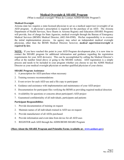# **Medical Oversight & SHARE Program**

(What is medical oversight? When do I contact ADHD/SHARE Program?)

### <span id="page-5-0"></span>**Medical Oversight**

Arizona state law requires a state-licensed physician to act as a medical supervisor (oversight) of an AED program. A physician's prescription is required for the purchase of an AED. The Arizona Department of Health Services, Save Hearts in Arizona Registry and Education (SHARE Program) will provide, free of charge for State Agencies, medical oversight through the Bureau of Emergency Medical Services (BEMS) Medical Director, (602-364-0580). His/her responsibility is to oversee the initial implementation process. An agency may select an independent medical oversight physician, other than the BEMS Medical Director; however, *medical supervision/oversight is required by law.*

**NOTE:** If you have reached this point in your AED Program development plan, it is now time to contact the SHARE program for additional information and guidance regarding the registration requirements for your AED device(s). This can be accomplished by calling the Medical Director's office at the number listed above or going to the SHARE website. AED registration is a simple process and needs to be included in your program whether you choose to use the ADHS Medical Director as your medical oversight physician or another qualified physician of your choice.

### **SHARE Program Assistance**

- 1. A prescription for AED purchase when necessary
- 2. Training resource recommendations
- 3. Event review for each AED use and a file copy to participant
- 4. Guidance and assistance with implementation and maintenance of your AED project
- 5. Documentation for participant files verifying the BEMS as providing required medical direction
- 6. Availability for questions or concerns about participant's AED project
- 7. Guaranteed confidentiality of all individuals, participants and patients

### **Participant Responsibilities**

- 1. Provide documentation of training on request
- 2. Maintain names of all individuals trained in AED use on request
- 3. Provide manufacturer of all AEDs purchased
- 4. Provide information and event data from device for all AED uses
- 5. REGISTER each AED through the ADHS/BEMS SHARE Program

### **(More About the SHARE Program and Printable Forms Available at: [www.azshare.gov\)](http://www.azshare.gov/)**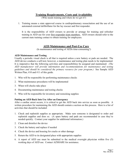# **Training Requirements, Costs and Availability**

(Who needs training and where do we get it?)

<span id="page-6-0"></span>1. Training means a state approved course in cardiopulmonary resuscitation and the use of an automated external defibrillator for the lay rescuer and first responder.

It is the responsibility of AED owners to provide or arrange for training and refresher training in AED use for your first responder team members. AED owners should refer to the current state training contact to obtain training for employees.

# **AED Maintenance and Post-Use Care**

(Is maintenance and testing of AEDs time-consuming?)

### **AED Maintenance and Testing**

Usually a periodic visual check is all that is required unless a new battery or pads are needed. The AED device conducts a self-test; however, a maintenance and testing plan needs to be implemented. It is imperative that the following activities and responsibilities be assigned and maintained: *(The AED manufacturer will provide information and recommendations for maintenance and testing guidelines and should be considered the primary resource for your program.)* See Sample AED Written Plan, #10 and #11 of this guide.

- 1. Who will be responsible for performing maintenance checks
- 2. What maintenance procedures will be implemented
- 3. When will checks take place
- 4. Documenting maintenance and testing checks
- 5. Who will be responsible for inventory and restocking supplies

### **Putting an AED Back Into Use After an Emergency**

After a cardiac arrest occurs, it is critical to get the AED back into service as soon as possible. A written procedure for maintaining the AED should contain a section on this process. Here is a list of activities that should be included:

- 1. Check and replenish supplies as appropriate. Make sure someone is designated to order and replenish supplies and does so. (A spare battery and pads are recommended in case they're needed quickly. Contact your supplier for additional information.)
- 2. Clean and disinfect the device
- 3. Check the battery and replace if needed
- 4. Check the device and housing for cracks or other damage
- 5. Return the AED to its designated place with appropriate supplies
- 6. A report of AED use must be submitted to the medical oversight physician within five (5) working days of AED use. Contact AZSHARE for assistance.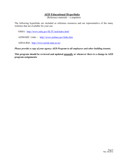# **AED Educational Hyperlinks**

(Reference materials – a snapshot)

<span id="page-7-0"></span>The following hyperlinks are included as reference resources and are representative of the many websites that are available for your use.

OSHA - <http://www.osha.gov/SLTC/aed/index.html>

AZSHARE Links – <http://www.azshare.gov/links.htm>

ADOA/RM - <http://www.azrisk.state.az.us/>

*Please provide a copy of your agency AED Program to all employees and other building tenants.* 

**This program should be reviewed and updated annually or whenever there is a change in AED program assignments***.*